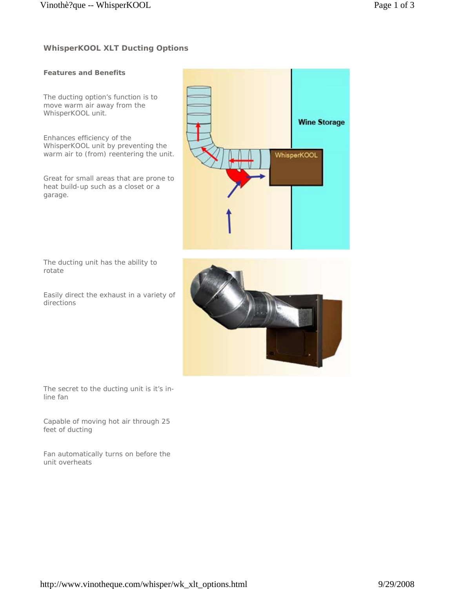## **Features and Benefits**

The ducting option's function is to move warm air away from the WhisperKOOL unit.

Enhances efficiency of the WhisperKOOL unit by preventing the warm air to (from) reentering the unit.

Great for small areas that are prone to heat build-up such as a closet or a garage.



The ducting unit has the ability to rotate

Easily direct the exhaust in a variety of directions



The secret to the ducting unit is it's inline fan

Capable of moving hot air through 25 feet of ducting

Fan automatically turns on before the unit overheats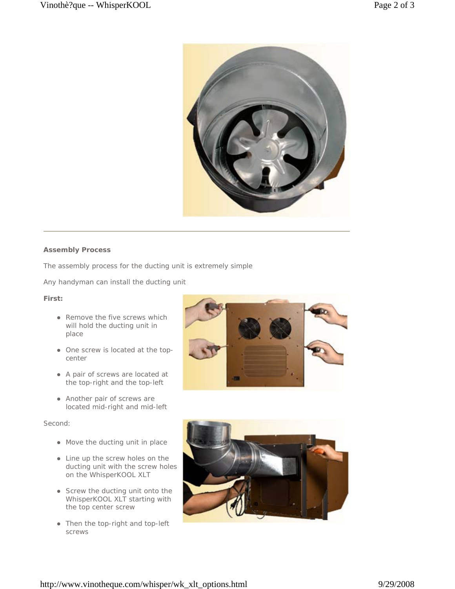

#### **Assembly Process**

The assembly process for the ducting unit is extremely simple

Any handyman can install the ducting unit

### **First:**

- Remove the five screws which will hold the ducting unit in place
- One screw is located at the topcenter
- A pair of screws are located at the top-right and the top-left
- Another pair of screws are located mid-right and mid-left

### Second:

- Move the ducting unit in place
- Line up the screw holes on the ducting unit with the screw holes on the WhisperKOOL XLT
- Screw the ducting unit onto the WhisperKOOL XLT starting with the top center screw
- Then the top-right and top-left screws